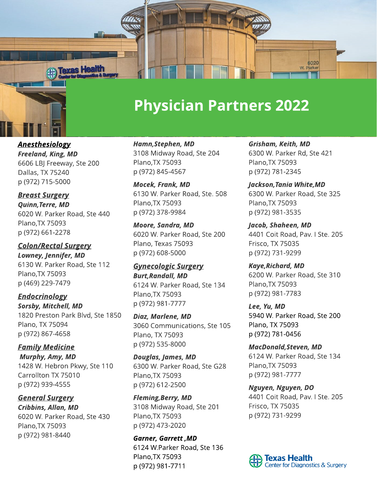

## **Physician Partners 2022**

**Anesthesiology Freeland, King, MD** 6606 LBJ Freeway, Ste 200 Dallas, TX 75240 p (972) 715-5000

**Breast Surgery Quinn,Terre, MD** 6020 W. Parker Road, Ste 440 Plano,TX 75093 p (972) 661-2278

**Colon/Rectal Surgery Lowney, Jennifer, MD** 6130 W. Parker Road, Ste 112 Plano,TX 75093 p (469) 229-7479

**Endocrinology Sorsby, Mitchell, MD** 1820 Preston Park Blvd, Ste 1850 Plano, TX 75094 p (972) 867-4658

**Family Medicine Murphy, Amy, MD** 1428 W. Hebron Pkwy, Ste 110 Carrollton TX 75010 p (972) 939-4555

**General Surgery Cribbins, Allan, MD** 6020 W. Parker Road, Ste 430 Plano,TX 75093 p (972) 981-8440

**Hamn,Stephen, MD** 3108 Midway Road, Ste 204 Plano,TX 75093 p (972) 845-4567

**Mocek, Frank, MD** 6130 W. Parker Road, Ste. 508 Plano,TX 75093 p (972) 378-9984

**Moore, Sandra, MD** 6020 W. Parker Road, Ste 200 Plano, Texas 75093 p (972) 608-5000

**Gynecologic Surgery Burt,Randall, MD** 6124 W. Parker Road, Ste 134 Plano,TX 75093 p (972) 981-7777

**Diaz, Marlene, MD** 3060 Communications, Ste 105 Plano, TX 75093 p (972) 535-8000

**Douglas, James, MD** 6300 W. Parker Road, Ste G28 Plano,TX 75093 p (972) 612-2500

**Fleming,Berry, MD** 3108 Midway Road, Ste 201 Plano,TX 75093 p (972) 473-2020

**Garner, Garrett ,MD** 6124 W.Parker Road, Ste 136 Plano,TX 75093 p (972) 981-7711

**Grisham, Keith, MD** 6300 W. Parker Rd, Ste 421 Plano,TX 75093 p (972) 781-2345

**Jackson,Tania White,MD** 6300 W. Parker Road, Ste 325 Plano,TX 75093 p (972) 981-3535

**Jacob, Shaheen, MD** 4401 Coit Road, Pav. I Ste. 205 Frisco, TX 75035 p (972) 731-9299

**Kaye,Richard, MD** 6200 W. Parker Road, Ste 310 Plano,TX 75093 p (972) 981-7783

**Lee, Yu, MD** 5940 W. Parker Road, Ste 200 Plano, TX 75093 p (972) 781-0456

**MacDonald,Steven, MD** 6124 W. Parker Road, Ste 134 Plano,TX 75093 p (972) 981-7777

**Nguyen, Nguyen, DO** 4401 Coit Road, Pav. I Ste. 205 Frisco, TX 75035 p (972) 731-9299

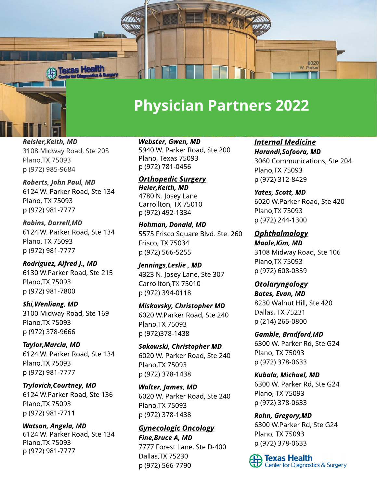

## **Physician Partners 2022**

**Reisler,Keith, MD** 3108 Midway Road, Ste 205 Plano,TX 75093 p (972) 985-9684

**Roberts, John Paul, MD** 6124 W. Parker Road, Ste 134 Plano, TX 75093 p (972) 981-7777

**Robins, Darrell,MD** 6124 W. Parker Road, Ste 134 Plano, TX 75093 p (972) 981-7777

**Rodriguez, Alfred J., MD** 6130 W.Parker Road, Ste 215 Plano,TX 75093 p (972) 981-7800

**Shi,Wenliang, MD** 3100 Midway Road, Ste 169 Plano,TX 75093 p (972) 378-9666

**Taylor,Marcia, MD** 6124 W. Parker Road, Ste 134 Plano,TX 75093 p (972) 981-7777

**Trylovich,Courtney, MD** 6124 W.Parker Road, Ste 136 Plano,TX 75093 p (972) 981-7711

**Watson, Angela, MD** 6124 W. Parker Road, Ste 134 Plano,TX 75093 p (972) 981-7777

**Webster, Gwen, MD** 5940 W. Parker Road, Ste 200 Plano, Texas 75093 p (972) 781-0456

**Orthopedic Surgery Heier,Keith, MD** 4780 N. Josey Lane Carrollton, TX 75010 p (972) 492-1334

**Hohman, Donald, MD** 5575 Frisco Square Blvd. Ste. 260 Frisco, TX 75034 p (972) 566-5255

**Jennings,Leslie , MD** 4323 N. Josey Lane, Ste 307 Carrollton,TX 75010 p (972) 394-0118

**Miskovsky, Christopher MD** 6020 W.Parker Road, Ste 240 Plano,TX 75093 p (972)378-1438

**Sakowski, Christopher MD** 6020 W. Parker Road, Ste 240 Plano,TX 75093 p (972) 378-1438

**Walter, James, MD** 6020 W. Parker Road, Ste 240 Plano,TX 75093 p (972) 378-1438

**Gynecologic Oncology Fine,Bruce A, MD** 7777 Forest Lane, Ste D-400 Dallas,TX75230 p (972) 566-7790

**Internal Medicine Harandi,Safoora, MD** 3060 Communications, Ste 204 Plano,TX 75093 p (972) 312-8429

**Yates, Scott, MD** 6020 W.Parker Road, Ste 420 Plano,TX 75093 p (972) 244-1300

**Ophthalmology Maale,Kim, MD** 3108 Midway Road, Ste 106 Plano,TX 75093 p (972) 608-0359

**Otolaryngology Bates, Evan, MD** 8230 Walnut Hill, Ste 420 Dallas, TX 75231 p (214) 265-0800

**Gamble, Bradford,MD** 6300 W. Parker Rd, Ste G24 Plano, TX 75093 p (972) 378-0633

**Kubala, Michael, MD** 6300 W. Parker Rd, Ste G24 Plano, TX 75093 p (972) 378-0633

**Rohn, Gregory,MD** 6300 W.Parker Rd, Ste G24 Plano, TX 75093 p (972) 378-0633

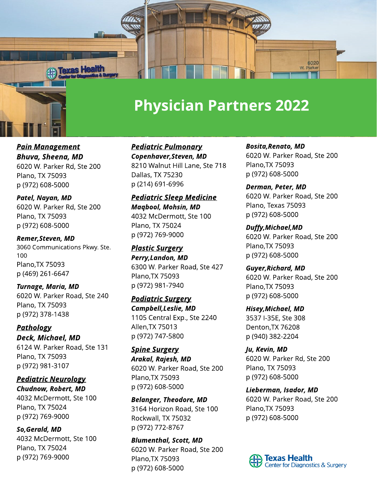

## **Physician Partners 2022**

**Pain Management Bhuva, Sheena, MD** 6020 W. Parker Rd, Ste 200 Plano, TX 75093 p (972) 608-5000

**Patel, Nayan, MD** 6020 W. Parker Rd, Ste 200 Plano, TX 75093 p (972) 608-5000

**Remer,Steven, MD** 3060 Communications Pkwy. Ste. 100 Plano,TX 75093 p (469) 261-6647

**Turnage, Maria, MD** 6020 W. Parker Road, Ste 240 Plano, TX 75093 p (972) 378-1438

**Pathology Deck, Michael, MD** 6124 W. Parker Road, Ste 131 Plano, TX 75093 p (972) 981-3107

**Pediatric Neurology Chudnow, Robert, MD** 4032 McDermott, Ste 100 Plano, TX 75024 p (972) 769-9000

**So,Gerald, MD** 4032 McDermott, Ste 100 Plano, TX 75024 p (972) 769-9000

**Pediatric Pulmonary Copenhaver,Steven, MD** 8210 Walnut Hill Lane, Ste 718 Dallas, TX 75230 p (214) 691-6996

**Pediatric Sleep Medicine Maqbool, Mohsin, MD** 4032 McDermott, Ste 100 Plano, TX 75024 p (972) 769-9000

**Plastic Surgery Perry,Landon, MD** 6300 W. Parker Road, Ste 427 Plano,TX 75093 p (972) 981-7940

**Podiatric Surgery Campbell,Leslie, MD** 1105 Central Exp., Ste 2240 Allen,TX 75013 p (972) 747-5800

**Spine Surgery Arakal, Rajesh, MD** 6020 W. Parker Road, Ste 200 Plano,TX 75093 p (972) 608-5000

**Belanger, Theodore, MD** 3164 Horizon Road, Ste 100 Rockwall, TX 75032 p (972) 772-8767

**Blumenthal, Scott, MD** 6020 W. Parker Road, Ste 200 Plano,TX 75093 p (972) 608-5000

**Bosita,Renato, MD** 6020 W. Parker Road, Ste 200 Plano,TX 75093 p (972) 608-5000

**Derman, Peter, MD** 6020 W. Parker Road, Ste 200 Plano, Texas 75093 p (972) 608-5000

**Duffy,Michael,MD** 6020 W. Parker Road, Ste 200 Plano,TX 75093 p (972) 608-5000

**Guyer,Richard, MD** 6020 W. Parker Road, Ste 200 Plano,TX 75093 p (972) 608-5000

**Hisey,Michael, MD** 3537 I-35E, Ste 308 Denton,TX 76208 p (940) 382-2204

**Ju, Kevin, MD** 6020 W. Parker Rd, Ste 200 Plano, TX 75093 p (972) 608-5000

**Lieberman, Isador, MD** 6020 W. Parker Road, Ste 200 Plano,TX 75093 p (972) 608-5000